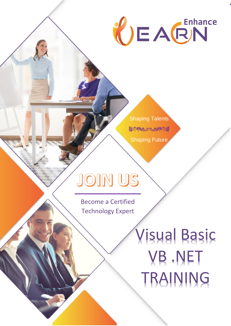# CEACN

Shaping Talents **ESPLOCIACE** Shaping Future

# JOIN US

Become a Certified Technology Expert

If you are interested in joining EnhanceLearn's Training and Placement Program, please reach us here:

ww.enhancelearn.com [training@enhancelearn.com](mailto:training@enhancelearn.com) training@enhancelearn.com training@enhancelearn.com

Visual Basic VB .NET TRAINING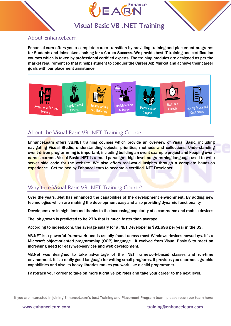



# Visual Basic VB .NET Training

### About EnhanceLearn

EnhanceLearn offers you a complete career transition by providing training and placement programs for Students and Jobseekers looking for a Career Success. We provide best IT training and certification courses which is taken by professional certified experts. The training modules are designed as per the market requirement so that it helps student to conquer the Career Job Market and achieve their career goals with our placement assistance.



## About the Visual Basic VB .NET Training Course

EnhanceLearn offers VB.NET training courses which provide an overview of Visual Basic, including navigating Visual Studio, understanding objects, priorities, methods and collections. Understanding event-driven programming is important, including building an event example project and keeping event names current. Visual Basic .NET is a multi-paradigm, high level programming language used to write server side code for the website. We also offers real-world insights through a complete hands-on experience. Get trained by EnhanceLearn to become a certified .NET Developer.

# Why take Visual Basic VB .NET Training Course?

Over the years, .Net has enhanced the capabilities of the development environment. By adding new technologies which are making the development easy and also providing dynamic functionality

Developers are in high demand thanks to the increasing popularity of e-commerce and mobile devices

The job growth is predicted to be 27% that is much faster than average.

According to indeed.com, the average salary for a .NET Developer is \$91,696 per year in the US.

VB.NET is a powerful framework and is usually found across most Windows devices nowadays. It's a Microsoft object-oriented programming (OOP) language. It evolved from Visual Basic 6 to meet an increasing need for easy web-services and web development.

VB.Net was designed to take advantage of the .NET framework-based classes and run-time environment. It is a really good language for writing small programs. It provides you enormous graphic capabilities and also its heavy libraries makes you work like a child programmer.

Fast-track your career to take on more lucrative job roles and take your career to the next level.

If you are interested in joining EnhanceLearn's best Training and Placement Program team, please reach our team here: